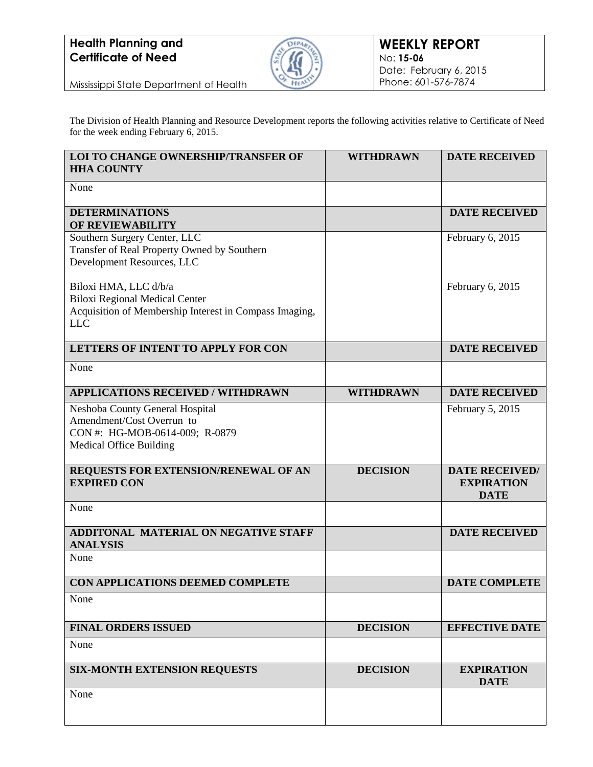

Mississippi State Department of Health

The Division of Health Planning and Resource Development reports the following activities relative to Certificate of Need for the week ending February 6, 2015.

| LOI TO CHANGE OWNERSHIP/TRANSFER OF<br><b>HHA COUNTY</b>                                                                               | <b>WITHDRAWN</b> | <b>DATE RECEIVED</b>                                      |
|----------------------------------------------------------------------------------------------------------------------------------------|------------------|-----------------------------------------------------------|
| None                                                                                                                                   |                  |                                                           |
| <b>DETERMINATIONS</b><br>OF REVIEWABILITY                                                                                              |                  | <b>DATE RECEIVED</b>                                      |
| Southern Surgery Center, LLC<br>Transfer of Real Property Owned by Southern<br>Development Resources, LLC                              |                  | February 6, 2015                                          |
| Biloxi HMA, LLC d/b/a<br><b>Biloxi Regional Medical Center</b><br>Acquisition of Membership Interest in Compass Imaging,<br><b>LLC</b> |                  | February 6, 2015                                          |
| LETTERS OF INTENT TO APPLY FOR CON                                                                                                     |                  | <b>DATE RECEIVED</b>                                      |
| None                                                                                                                                   |                  |                                                           |
| <b>APPLICATIONS RECEIVED / WITHDRAWN</b>                                                                                               | <b>WITHDRAWN</b> | <b>DATE RECEIVED</b>                                      |
| Neshoba County General Hospital<br>Amendment/Cost Overrun to<br>CON #: HG-MOB-0614-009; R-0879<br><b>Medical Office Building</b>       |                  | February 5, 2015                                          |
| REQUESTS FOR EXTENSION/RENEWAL OF AN<br><b>EXPIRED CON</b>                                                                             | <b>DECISION</b>  | <b>DATE RECEIVED/</b><br><b>EXPIRATION</b><br><b>DATE</b> |
| None                                                                                                                                   |                  |                                                           |
| ADDITONAL MATERIAL ON NEGATIVE STAFF<br><b>ANALYSIS</b>                                                                                |                  | <b>DATE RECEIVED</b>                                      |
| None                                                                                                                                   |                  |                                                           |
| CON APPLICATIONS DEEMED COMPLETE                                                                                                       |                  | <b>DATE COMPLETE</b>                                      |
| None                                                                                                                                   |                  |                                                           |
| <b>FINAL ORDERS ISSUED</b>                                                                                                             | <b>DECISION</b>  | <b>EFFECTIVE DATE</b>                                     |
| None                                                                                                                                   |                  |                                                           |
| <b>SIX-MONTH EXTENSION REQUESTS</b>                                                                                                    | <b>DECISION</b>  | <b>EXPIRATION</b><br><b>DATE</b>                          |
| None                                                                                                                                   |                  |                                                           |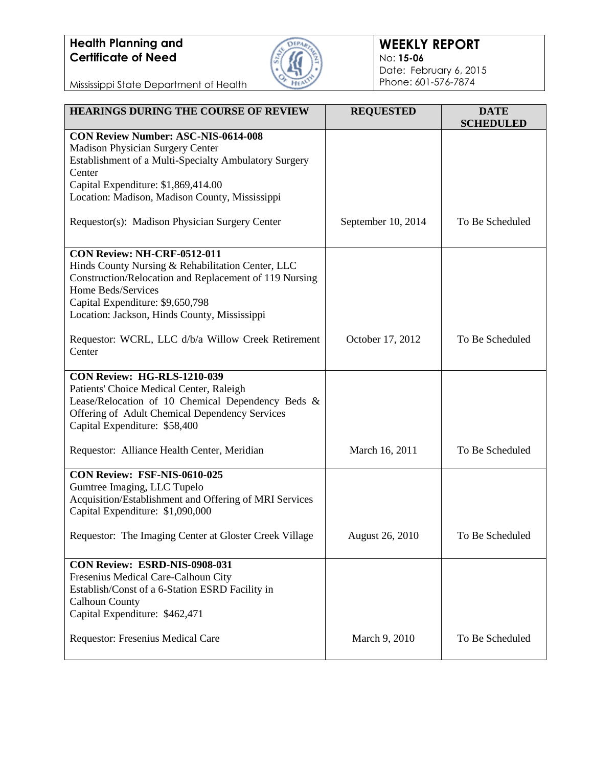

### **WEEKLY REPORT** No: **15-06** Date: February 6, 2015 Phone: 601-576-7874

Mississippi State Department of Health

| <b>HEARINGS DURING THE COURSE OF REVIEW</b>                                                                                                                                                                                                          | <b>REQUESTED</b>   | <b>DATE</b><br><b>SCHEDULED</b> |
|------------------------------------------------------------------------------------------------------------------------------------------------------------------------------------------------------------------------------------------------------|--------------------|---------------------------------|
| <b>CON Review Number: ASC-NIS-0614-008</b><br>Madison Physician Surgery Center<br>Establishment of a Multi-Specialty Ambulatory Surgery<br>Center<br>Capital Expenditure: \$1,869,414.00<br>Location: Madison, Madison County, Mississippi           |                    |                                 |
| Requestor(s): Madison Physician Surgery Center                                                                                                                                                                                                       | September 10, 2014 | To Be Scheduled                 |
| CON Review: NH-CRF-0512-011<br>Hinds County Nursing & Rehabilitation Center, LLC<br>Construction/Relocation and Replacement of 119 Nursing<br>Home Beds/Services<br>Capital Expenditure: \$9,650,798<br>Location: Jackson, Hinds County, Mississippi |                    |                                 |
| Requestor: WCRL, LLC d/b/a Willow Creek Retirement<br>Center                                                                                                                                                                                         | October 17, 2012   | To Be Scheduled                 |
| CON Review: HG-RLS-1210-039<br>Patients' Choice Medical Center, Raleigh<br>Lease/Relocation of 10 Chemical Dependency Beds &<br>Offering of Adult Chemical Dependency Services<br>Capital Expenditure: \$58,400                                      |                    |                                 |
| Requestor: Alliance Health Center, Meridian                                                                                                                                                                                                          | March 16, 2011     | To Be Scheduled                 |
| CON Review: FSF-NIS-0610-025<br>Gumtree Imaging, LLC Tupelo<br>Acquisition/Establishment and Offering of MRI Services<br>Capital Expenditure: \$1,090,000                                                                                            |                    |                                 |
| Requestor: The Imaging Center at Gloster Creek Village                                                                                                                                                                                               | August 26, 2010    | To Be Scheduled                 |
| CON Review: ESRD-NIS-0908-031<br>Fresenius Medical Care-Calhoun City<br>Establish/Const of a 6-Station ESRD Facility in<br><b>Calhoun County</b><br>Capital Expenditure: \$462,471                                                                   |                    |                                 |
| <b>Requestor: Fresenius Medical Care</b>                                                                                                                                                                                                             | March 9, 2010      | To Be Scheduled                 |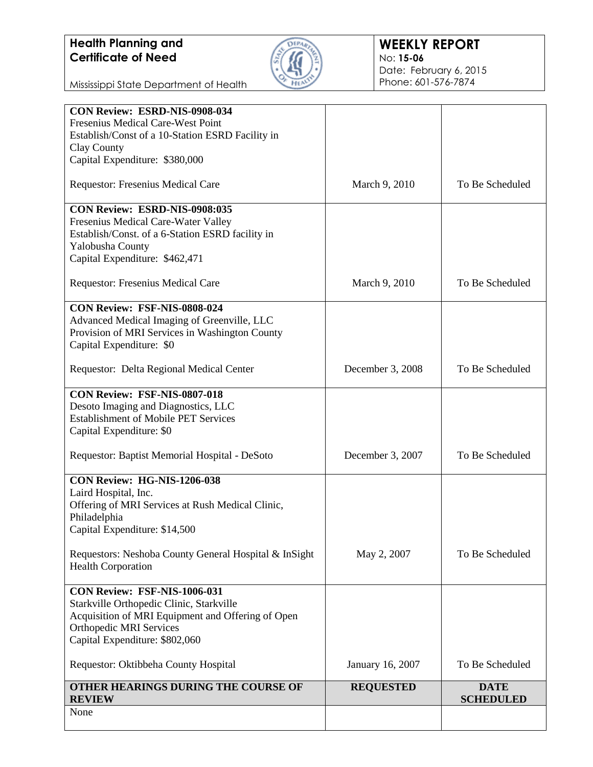

### **WEEKLY REPORT** No: **15-06** Date: February 6, 2015 Phone: 601-576-7874

Mississippi State Department of Health

| CON Review: ESRD-NIS-0908-034                         |                  |                                 |
|-------------------------------------------------------|------------------|---------------------------------|
| Fresenius Medical Care-West Point                     |                  |                                 |
| Establish/Const of a 10-Station ESRD Facility in      |                  |                                 |
| Clay County                                           |                  |                                 |
| Capital Expenditure: \$380,000                        |                  |                                 |
| Requestor: Fresenius Medical Care                     | March 9, 2010    | To Be Scheduled                 |
| CON Review: ESRD-NIS-0908:035                         |                  |                                 |
| Fresenius Medical Care-Water Valley                   |                  |                                 |
| Establish/Const. of a 6-Station ESRD facility in      |                  |                                 |
| Yalobusha County                                      |                  |                                 |
| Capital Expenditure: \$462,471                        |                  |                                 |
| Requestor: Fresenius Medical Care                     | March 9, 2010    | To Be Scheduled                 |
| <b>CON Review: FSF-NIS-0808-024</b>                   |                  |                                 |
| Advanced Medical Imaging of Greenville, LLC           |                  |                                 |
| Provision of MRI Services in Washington County        |                  |                                 |
| Capital Expenditure: \$0                              |                  |                                 |
|                                                       |                  |                                 |
| Requestor: Delta Regional Medical Center              | December 3, 2008 | To Be Scheduled                 |
| CON Review: FSF-NIS-0807-018                          |                  |                                 |
| Desoto Imaging and Diagnostics, LLC                   |                  |                                 |
| <b>Establishment of Mobile PET Services</b>           |                  |                                 |
| Capital Expenditure: \$0                              |                  |                                 |
|                                                       |                  |                                 |
| Requestor: Baptist Memorial Hospital - DeSoto         | December 3, 2007 | To Be Scheduled                 |
| CON Review: HG-NIS-1206-038                           |                  |                                 |
| Laird Hospital, Inc.                                  |                  |                                 |
| Offering of MRI Services at Rush Medical Clinic,      |                  |                                 |
| Philadelphia                                          |                  |                                 |
| Capital Expenditure: \$14,500                         |                  |                                 |
| Requestors: Neshoba County General Hospital & InSight | May 2, 2007      | To Be Scheduled                 |
| <b>Health Corporation</b>                             |                  |                                 |
| <b>CON Review: FSF-NIS-1006-031</b>                   |                  |                                 |
| Starkville Orthopedic Clinic, Starkville              |                  |                                 |
| Acquisition of MRI Equipment and Offering of Open     |                  |                                 |
| <b>Orthopedic MRI Services</b>                        |                  |                                 |
| Capital Expenditure: \$802,060                        |                  |                                 |
| Requestor: Oktibbeha County Hospital                  | January 16, 2007 | To Be Scheduled                 |
|                                                       |                  |                                 |
| OTHER HEARINGS DURING THE COURSE OF<br><b>REVIEW</b>  | <b>REQUESTED</b> | <b>DATE</b><br><b>SCHEDULED</b> |
| None                                                  |                  |                                 |
|                                                       |                  |                                 |